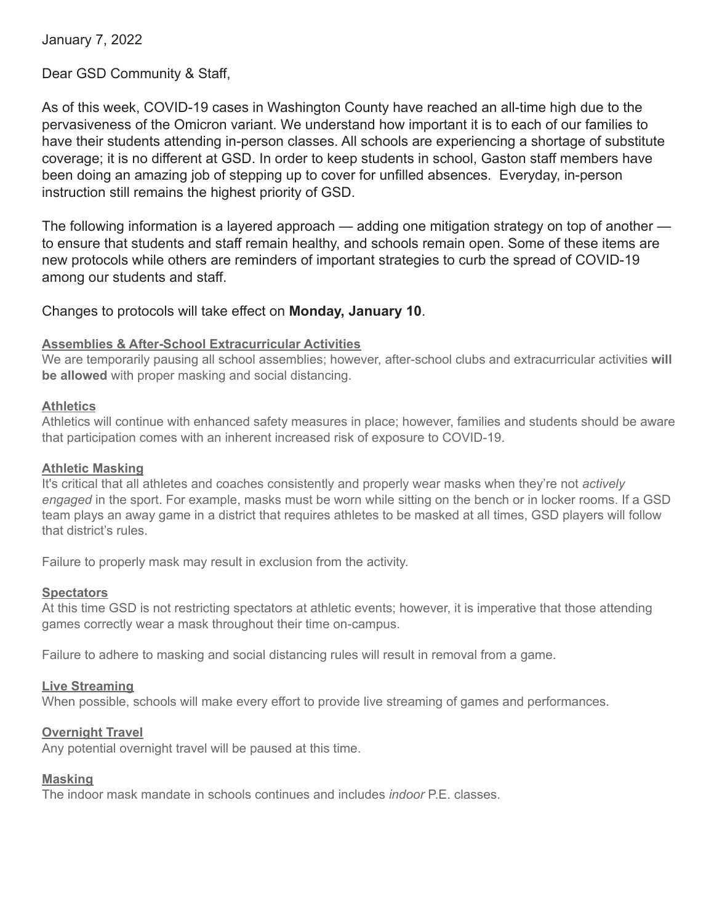January 7, 2022

Dear GSD Community & Staff,

As of this week, COVID-19 cases in Washington County have reached an all-time high due to the pervasiveness of the Omicron variant. We understand how important it is to each of our families to have their students attending in-person classes. All schools are experiencing a shortage of substitute coverage; it is no different at GSD. In order to keep students in school, Gaston staff members have been doing an amazing job of stepping up to cover for unfilled absences. Everyday, in-person instruction still remains the highest priority of GSD.

The following information is a layered approach — adding one mitigation strategy on top of another to ensure that students and staff remain healthy, and schools remain open. Some of these items are new protocols while others are reminders of important strategies to curb the spread of COVID-19 among our students and staff.

# Changes to protocols will take effect on **Monday, January 10**.

### **Assemblies & After-School Extracurricular Activities**

We are temporarily pausing all school assemblies; however, after-school clubs and extracurricular activities **will be allowed** with proper masking and social distancing.

### **Athletics**

Athletics will continue with enhanced safety measures in place; however, families and students should be aware that participation comes with an inherent increased risk of exposure to COVID-19.

### **Athletic Masking**

It's critical that all athletes and coaches consistently and properly wear masks when they're not *actively engaged* in the sport. For example, masks must be worn while sitting on the bench or in locker rooms. If a GSD team plays an away game in a district that requires athletes to be masked at all times, GSD players will follow that district's rules.

Failure to properly mask may result in exclusion from the activity.

## **Spectators**

At this time GSD is not restricting spectators at athletic events; however, it is imperative that those attending games correctly wear a mask throughout their time on-campus.

Failure to adhere to masking and social distancing rules will result in removal from a game.

### **Live Streaming**

When possible, schools will make every effort to provide live streaming of games and performances.

### **Overnight Travel**

Any potential overnight travel will be paused at this time.

### **Masking**

The indoor mask mandate in schools continues and includes *indoor* P.E. classes.